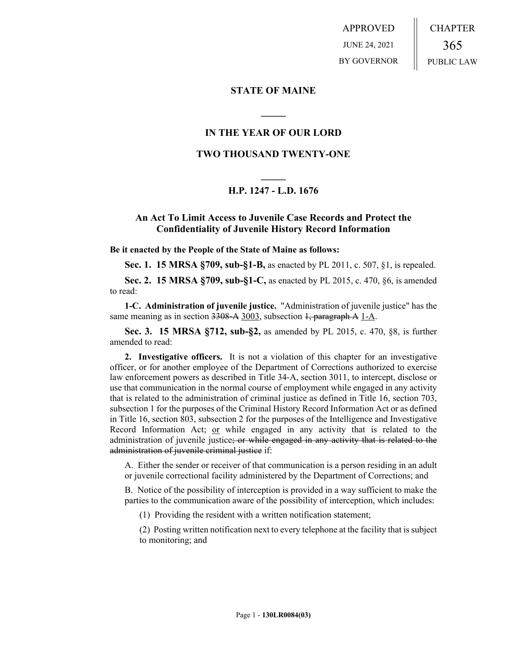APPROVED JUNE 24, 2021 BY GOVERNOR CHAPTER 365 PUBLIC LAW

## **STATE OF MAINE**

# **IN THE YEAR OF OUR LORD**

**\_\_\_\_\_**

# **TWO THOUSAND TWENTY-ONE**

# **\_\_\_\_\_ H.P. 1247 - L.D. 1676**

# **An Act To Limit Access to Juvenile Case Records and Protect the Confidentiality of Juvenile History Record Information**

**Be it enacted by the People of the State of Maine as follows:**

**Sec. 1. 15 MRSA §709, sub-§1-B,** as enacted by PL 2011, c. 507, §1, is repealed.

**Sec. 2. 15 MRSA §709, sub-§1-C,** as enacted by PL 2015, c. 470, §6, is amended to read:

**1-C. Administration of juvenile justice.** "Administration of juvenile justice" has the same meaning as in section 3308-A 3003, subsection 1, paragraph A 1-A.

**Sec. 3. 15 MRSA §712, sub-§2,** as amended by PL 2015, c. 470, §8, is further amended to read:

**2. Investigative officers.** It is not a violation of this chapter for an investigative officer, or for another employee of the Department of Corrections authorized to exercise law enforcement powers as described in Title 34‑A, section 3011, to intercept, disclose or use that communication in the normal course of employment while engaged in any activity that is related to the administration of criminal justice as defined in Title 16, section 703, subsection 1 for the purposes of the Criminal History Record Information Act or as defined in Title 16, section 803, subsection 2 for the purposes of the Intelligence and Investigative Record Information Act; or while engaged in any activity that is related to the administration of juvenile justice; or while engaged in any activity that is related to the administration of juvenile criminal justice if:

A. Either the sender or receiver of that communication is a person residing in an adult or juvenile correctional facility administered by the Department of Corrections; and

B. Notice of the possibility of interception is provided in a way sufficient to make the parties to the communication aware of the possibility of interception, which includes:

(1) Providing the resident with a written notification statement;

(2) Posting written notification next to every telephone at the facility that is subject to monitoring; and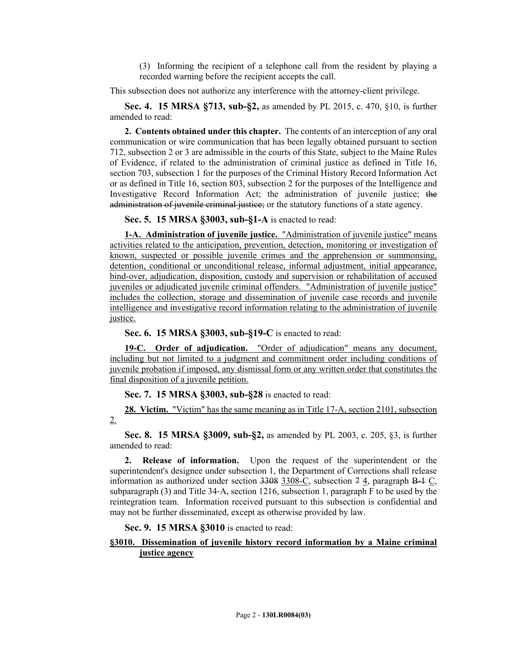(3) Informing the recipient of a telephone call from the resident by playing a recorded warning before the recipient accepts the call.

This subsection does not authorize any interference with the attorney-client privilege.

**Sec. 4. 15 MRSA §713, sub-§2,** as amended by PL 2015, c. 470, §10, is further amended to read:

**2. Contents obtained under this chapter.** The contents of an interception of any oral communication or wire communication that has been legally obtained pursuant to section 712, subsection 2 or 3 are admissible in the courts of this State, subject to the Maine Rules of Evidence, if related to the administration of criminal justice as defined in Title 16, section 703, subsection 1 for the purposes of the Criminal History Record Information Act or as defined in Title 16, section 803, subsection 2 for the purposes of the Intelligence and Investigative Record Information Act; the administration of juvenile justice; the administration of juvenile criminal justice; or the statutory functions of a state agency.

**Sec. 5. 15 MRSA §3003, sub-§1-A** is enacted to read:

**1-A. Administration of juvenile justice.** "Administration of juvenile justice" means activities related to the anticipation, prevention, detection, monitoring or investigation of known, suspected or possible juvenile crimes and the apprehension or summonsing, detention, conditional or unconditional release, informal adjustment, initial appearance, bind-over, adjudication, disposition, custody and supervision or rehabilitation of accused juveniles or adjudicated juvenile criminal offenders. "Administration of juvenile justice" includes the collection, storage and dissemination of juvenile case records and juvenile intelligence and investigative record information relating to the administration of juvenile justice.

**Sec. 6. 15 MRSA §3003, sub-§19-C** is enacted to read:

**19-C. Order of adjudication.** "Order of adjudication" means any document, including but not limited to a judgment and commitment order including conditions of juvenile probation if imposed, any dismissal form or any written order that constitutes the final disposition of a juvenile petition.

**Sec. 7. 15 MRSA §3003, sub-§28** is enacted to read:

**28. Victim.** "Victim" has the same meaning as in Title 17-A, section 2101, subsection 2.

**Sec. 8. 15 MRSA §3009, sub-§2,** as amended by PL 2003, c. 205, §3, is further amended to read:

**2. Release of information.** Upon the request of the superintendent or the superintendent's designee under subsection 1, the Department of Corrections shall release information as authorized under section  $3308$ –C, subsection  $74$ , paragraph B–1 C, subparagraph (3) and Title 34-A, section 1216, subsection 1, paragraph  $\overline{F}$  to be used by the reintegration team. Information received pursuant to this subsection is confidential and may not be further disseminated, except as otherwise provided by law.

**Sec. 9. 15 MRSA §3010** is enacted to read:

## **§3010. Dissemination of juvenile history record information by a Maine criminal justice agency**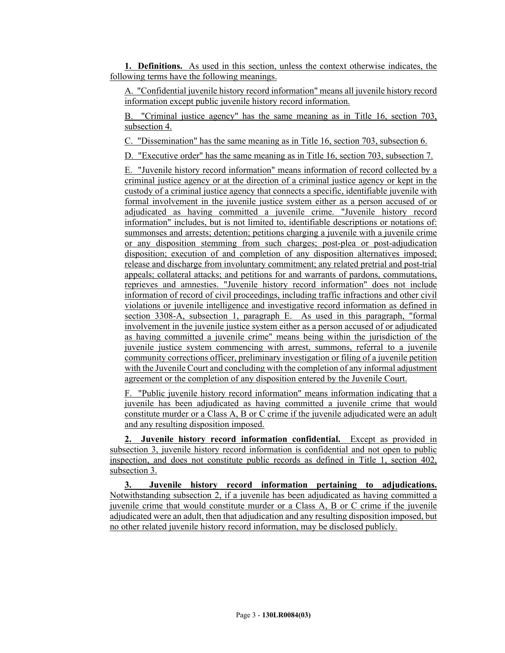**1. Definitions.** As used in this section, unless the context otherwise indicates, the following terms have the following meanings.

A. "Confidential juvenile history record information" means all juvenile history record information except public juvenile history record information.

B. "Criminal justice agency" has the same meaning as in Title 16, section 703, subsection 4.

C. "Dissemination" has the same meaning as in Title 16, section 703, subsection 6.

D. "Executive order" has the same meaning as in Title 16, section 703, subsection 7.

E. "Juvenile history record information" means information of record collected by a criminal justice agency or at the direction of a criminal justice agency or kept in the custody of a criminal justice agency that connects a specific, identifiable juvenile with formal involvement in the juvenile justice system either as a person accused of or adjudicated as having committed a juvenile crime. "Juvenile history record information" includes, but is not limited to, identifiable descriptions or notations of: summonses and arrests; detention; petitions charging a juvenile with a juvenile crime or any disposition stemming from such charges; post-plea or post-adjudication disposition; execution of and completion of any disposition alternatives imposed; release and discharge from involuntary commitment; any related pretrial and post-trial appeals; collateral attacks; and petitions for and warrants of pardons, commutations, reprieves and amnesties. "Juvenile history record information" does not include information of record of civil proceedings, including traffic infractions and other civil violations or juvenile intelligence and investigative record information as defined in section 3308-A, subsection 1, paragraph E. As used in this paragraph, "formal involvement in the juvenile justice system either as a person accused of or adjudicated as having committed a juvenile crime" means being within the jurisdiction of the juvenile justice system commencing with arrest, summons, referral to a juvenile community corrections officer, preliminary investigation or filing of a juvenile petition with the Juvenile Court and concluding with the completion of any informal adjustment agreement or the completion of any disposition entered by the Juvenile Court.

F. "Public juvenile history record information" means information indicating that a juvenile has been adjudicated as having committed a juvenile crime that would constitute murder or a Class A, B or C crime if the juvenile adjudicated were an adult and any resulting disposition imposed.

**2. Juvenile history record information confidential.** Except as provided in subsection 3, juvenile history record information is confidential and not open to public inspection, and does not constitute public records as defined in Title 1, section 402, subsection 3.

**3. Juvenile history record information pertaining to adjudications.** Notwithstanding subsection 2, if a juvenile has been adjudicated as having committed a juvenile crime that would constitute murder or a Class A, B or C crime if the juvenile adjudicated were an adult, then that adjudication and any resulting disposition imposed, but no other related juvenile history record information, may be disclosed publicly.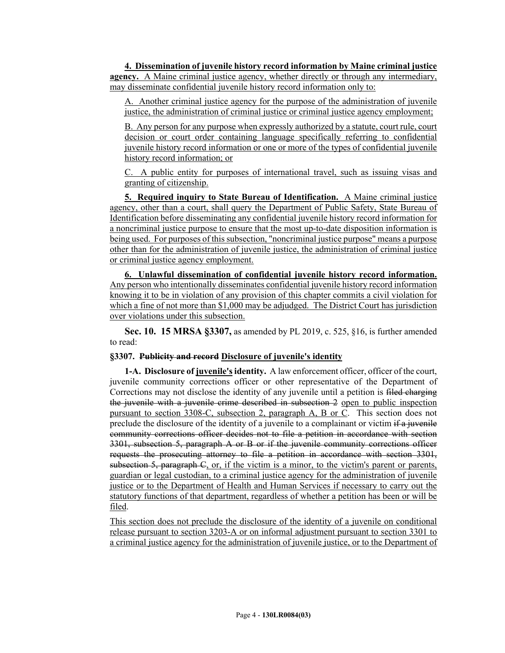**4. Dissemination of juvenile history record information by Maine criminal justice agency.** A Maine criminal justice agency, whether directly or through any intermediary, may disseminate confidential juvenile history record information only to:

A. Another criminal justice agency for the purpose of the administration of juvenile justice, the administration of criminal justice or criminal justice agency employment;

B. Any person for any purpose when expressly authorized by a statute, court rule, court decision or court order containing language specifically referring to confidential juvenile history record information or one or more of the types of confidential juvenile history record information; or

C. A public entity for purposes of international travel, such as issuing visas and granting of citizenship.

**5. Required inquiry to State Bureau of Identification.** A Maine criminal justice agency, other than a court, shall query the Department of Public Safety, State Bureau of Identification before disseminating any confidential juvenile history record information for a noncriminal justice purpose to ensure that the most up-to-date disposition information is being used. For purposes of this subsection, "noncriminal justice purpose" means a purpose other than for the administration of juvenile justice, the administration of criminal justice or criminal justice agency employment.

**6. Unlawful dissemination of confidential juvenile history record information.**  Any person who intentionally disseminates confidential juvenile history record information knowing it to be in violation of any provision of this chapter commits a civil violation for which a fine of not more than \$1,000 may be adjudged. The District Court has jurisdiction over violations under this subsection.

**Sec. 10. 15 MRSA §3307,** as amended by PL 2019, c. 525, §16, is further amended to read:

## **§3307. Publicity and record Disclosure of juvenile's identity**

**1-A. Disclosure of juvenile's identity.** A law enforcement officer, officer of the court, juvenile community corrections officer or other representative of the Department of Corrections may not disclose the identity of any juvenile until a petition is filed charging the juvenile with a juvenile crime described in subsection 2 open to public inspection pursuant to section 3308-C, subsection 2, paragraph A, B or C. This section does not preclude the disclosure of the identity of a juvenile to a complainant or victim  $\frac{d}{dt}$  is inveniled community corrections officer decides not to file a petition in accordance with section 3301, subsection 5, paragraph A or B or if the juvenile community corrections officer requests the prosecuting attorney to file a petition in accordance with section 3301, subsection 5, paragraph  $\mathbb{C}$ , or, if the victim is a minor, to the victim's parent or parents, guardian or legal custodian, to a criminal justice agency for the administration of juvenile justice or to the Department of Health and Human Services if necessary to carry out the statutory functions of that department, regardless of whether a petition has been or will be filed.

This section does not preclude the disclosure of the identity of a juvenile on conditional release pursuant to section 3203-A or on informal adjustment pursuant to section 3301 to a criminal justice agency for the administration of juvenile justice, or to the Department of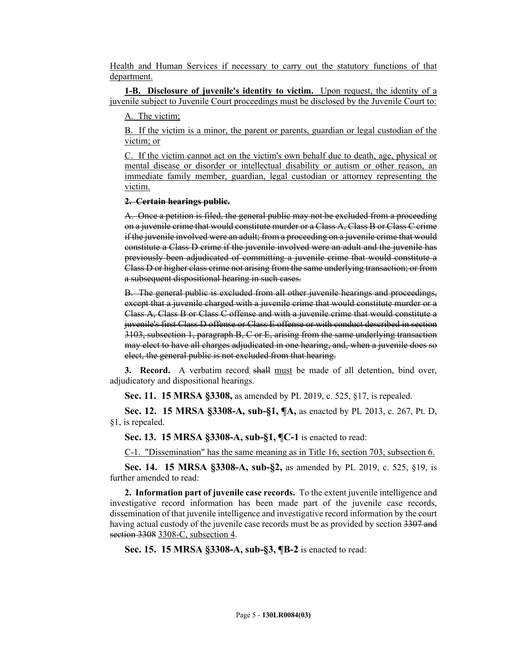Health and Human Services if necessary to carry out the statutory functions of that department.

**1-B. Disclosure of juvenile's identity to victim.** Upon request, the identity of a juvenile subject to Juvenile Court proceedings must be disclosed by the Juvenile Court to:

A. The victim;

B. If the victim is a minor, the parent or parents, guardian or legal custodian of the victim; or

C. If the victim cannot act on the victim's own behalf due to death, age, physical or mental disease or disorder or intellectual disability or autism or other reason, an immediate family member, guardian, legal custodian or attorney representing the victim.

#### **2. Certain hearings public.**

A. Once a petition is filed, the general public may not be excluded from a proceeding on a juvenile crime that would constitute murder or a Class A, Class B or Class C crime if the juvenile involved were an adult; from a proceeding on a juvenile crime that would constitute a Class D crime if the juvenile involved were an adult and the juvenile has previously been adjudicated of committing a juvenile crime that would constitute a Class D or higher class crime not arising from the same underlying transaction; or from a subsequent dispositional hearing in such cases.

B. The general public is excluded from all other juvenile hearings and proceedings, except that a juvenile charged with a juvenile crime that would constitute murder or a Class A, Class B or Class C offense and with a juvenile crime that would constitute a juvenile's first Class D offense or Class E offense or with conduct described in section 3103, subsection 1, paragraph B, C or E, arising from the same underlying transaction may elect to have all charges adjudicated in one hearing, and, when a juvenile does so elect, the general public is not excluded from that hearing.

**3. Record.** A verbatim record shall must be made of all detention, bind over, adjudicatory and dispositional hearings.

**Sec. 11. 15 MRSA §3308,** as amended by PL 2019, c. 525, §17, is repealed.

**Sec. 12. 15 MRSA §3308-A, sub-§1, ¶A,** as enacted by PL 2013, c. 267, Pt. D, §1, is repealed.

**Sec. 13. 15 MRSA §3308-A, sub-§1, ¶C-1** is enacted to read:

C-1. "Dissemination" has the same meaning as in Title 16, section 703, subsection 6.

**Sec. 14. 15 MRSA §3308-A, sub-§2,** as amended by PL 2019, c. 525, §19, is further amended to read:

**2. Information part of juvenile case records.** To the extent juvenile intelligence and investigative record information has been made part of the juvenile case records, dissemination of that juvenile intelligence and investigative record information by the court having actual custody of the juvenile case records must be as provided by section 3307 and section 3308 3308-C, subsection 4.

**Sec. 15. 15 MRSA §3308-A, sub-§3, ¶B-2** is enacted to read: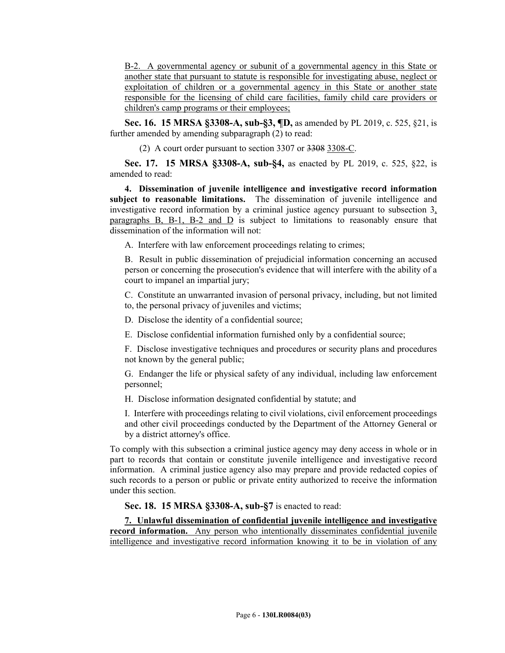B-2. A governmental agency or subunit of a governmental agency in this State or another state that pursuant to statute is responsible for investigating abuse, neglect or exploitation of children or a governmental agency in this State or another state responsible for the licensing of child care facilities, family child care providers or children's camp programs or their employees;

**Sec. 16. 15 MRSA §3308-A, sub-§3, ¶D,** as amended by PL 2019, c. 525, §21, is further amended by amending subparagraph (2) to read:

(2) A court order pursuant to section  $3307$  or  $3308-$ .

**Sec. 17. 15 MRSA §3308-A, sub-§4,** as enacted by PL 2019, c. 525, §22, is amended to read:

**4. Dissemination of juvenile intelligence and investigative record information subject to reasonable limitations.** The dissemination of juvenile intelligence and investigative record information by a criminal justice agency pursuant to subsection 3, paragraphs B, B-1, B-2 and D is subject to limitations to reasonably ensure that dissemination of the information will not:

A. Interfere with law enforcement proceedings relating to crimes;

B. Result in public dissemination of prejudicial information concerning an accused person or concerning the prosecution's evidence that will interfere with the ability of a court to impanel an impartial jury;

C. Constitute an unwarranted invasion of personal privacy, including, but not limited to, the personal privacy of juveniles and victims;

D. Disclose the identity of a confidential source;

E. Disclose confidential information furnished only by a confidential source;

F. Disclose investigative techniques and procedures or security plans and procedures not known by the general public;

G. Endanger the life or physical safety of any individual, including law enforcement personnel;

H. Disclose information designated confidential by statute; and

I. Interfere with proceedings relating to civil violations, civil enforcement proceedings and other civil proceedings conducted by the Department of the Attorney General or by a district attorney's office.

To comply with this subsection a criminal justice agency may deny access in whole or in part to records that contain or constitute juvenile intelligence and investigative record information. A criminal justice agency also may prepare and provide redacted copies of such records to a person or public or private entity authorized to receive the information under this section.

## **Sec. 18. 15 MRSA §3308-A, sub-§7** is enacted to read:

**7. Unlawful dissemination of confidential juvenile intelligence and investigative record information.** Any person who intentionally disseminates confidential juvenile intelligence and investigative record information knowing it to be in violation of any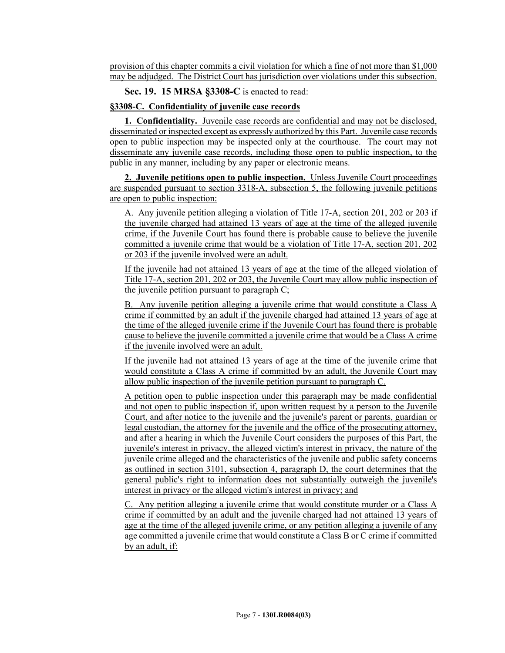provision of this chapter commits a civil violation for which a fine of not more than \$1,000 may be adjudged. The District Court has jurisdiction over violations under this subsection.

**Sec. 19. 15 MRSA §3308-C** is enacted to read:

## **§3308-C. Confidentiality of juvenile case records**

**1. Confidentiality.** Juvenile case records are confidential and may not be disclosed, disseminated or inspected except as expressly authorized by this Part. Juvenile case records open to public inspection may be inspected only at the courthouse. The court may not disseminate any juvenile case records, including those open to public inspection, to the public in any manner, including by any paper or electronic means.

**2. Juvenile petitions open to public inspection.** Unless Juvenile Court proceedings are suspended pursuant to section 3318-A, subsection 5, the following juvenile petitions are open to public inspection:

A. Any juvenile petition alleging a violation of Title 17-A, section 201, 202 or 203 if the juvenile charged had attained 13 years of age at the time of the alleged juvenile crime, if the Juvenile Court has found there is probable cause to believe the juvenile committed a juvenile crime that would be a violation of Title 17-A, section 201, 202 or 203 if the juvenile involved were an adult.

If the juvenile had not attained 13 years of age at the time of the alleged violation of Title 17-A, section 201, 202 or 203, the Juvenile Court may allow public inspection of the juvenile petition pursuant to paragraph  $C_i$ 

B. Any juvenile petition alleging a juvenile crime that would constitute a Class A crime if committed by an adult if the juvenile charged had attained 13 years of age at the time of the alleged juvenile crime if the Juvenile Court has found there is probable cause to believe the juvenile committed a juvenile crime that would be a Class A crime if the juvenile involved were an adult.

If the juvenile had not attained 13 years of age at the time of the juvenile crime that would constitute a Class A crime if committed by an adult, the Juvenile Court may allow public inspection of the juvenile petition pursuant to paragraph C.

A petition open to public inspection under this paragraph may be made confidential and not open to public inspection if, upon written request by a person to the Juvenile Court, and after notice to the juvenile and the juvenile's parent or parents, guardian or legal custodian, the attorney for the juvenile and the office of the prosecuting attorney, and after a hearing in which the Juvenile Court considers the purposes of this Part, the juvenile's interest in privacy, the alleged victim's interest in privacy, the nature of the juvenile crime alleged and the characteristics of the juvenile and public safety concerns as outlined in section 3101, subsection 4, paragraph D, the court determines that the general public's right to information does not substantially outweigh the juvenile's interest in privacy or the alleged victim's interest in privacy; and

C. Any petition alleging a juvenile crime that would constitute murder or a Class A crime if committed by an adult and the juvenile charged had not attained 13 years of age at the time of the alleged juvenile crime, or any petition alleging a juvenile of any age committed a juvenile crime that would constitute a Class B or C crime if committed by an adult, if: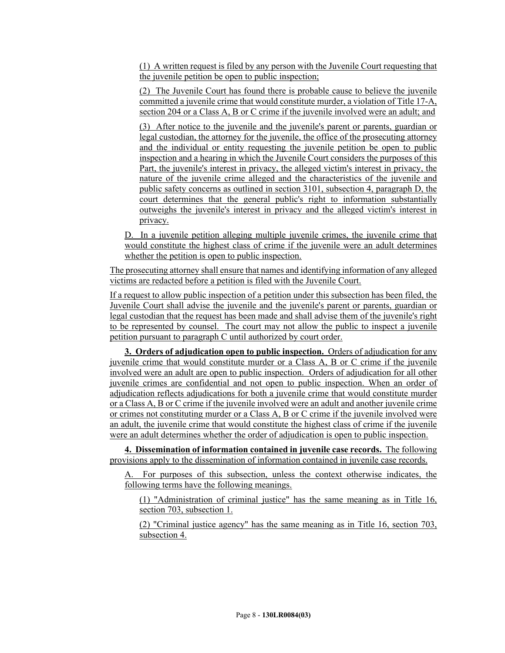(1) A written request is filed by any person with the Juvenile Court requesting that the juvenile petition be open to public inspection;

(2) The Juvenile Court has found there is probable cause to believe the juvenile committed a juvenile crime that would constitute murder, a violation of Title 17-A, section 204 or a Class A, B or C crime if the juvenile involved were an adult; and

(3) After notice to the juvenile and the juvenile's parent or parents, guardian or legal custodian, the attorney for the juvenile, the office of the prosecuting attorney and the individual or entity requesting the juvenile petition be open to public inspection and a hearing in which the Juvenile Court considers the purposes of this Part, the juvenile's interest in privacy, the alleged victim's interest in privacy, the nature of the juvenile crime alleged and the characteristics of the juvenile and public safety concerns as outlined in section 3101, subsection 4, paragraph D, the court determines that the general public's right to information substantially outweighs the juvenile's interest in privacy and the alleged victim's interest in privacy.

D. In a juvenile petition alleging multiple juvenile crimes, the juvenile crime that would constitute the highest class of crime if the juvenile were an adult determines whether the petition is open to public inspection.

The prosecuting attorney shall ensure that names and identifying information of any alleged victims are redacted before a petition is filed with the Juvenile Court.

If a request to allow public inspection of a petition under this subsection has been filed, the Juvenile Court shall advise the juvenile and the juvenile's parent or parents, guardian or legal custodian that the request has been made and shall advise them of the juvenile's right to be represented by counsel. The court may not allow the public to inspect a juvenile petition pursuant to paragraph C until authorized by court order.

**3. Orders of adjudication open to public inspection.** Orders of adjudication for any juvenile crime that would constitute murder or a Class A, B or C crime if the juvenile involved were an adult are open to public inspection. Orders of adjudication for all other juvenile crimes are confidential and not open to public inspection. When an order of adjudication reflects adjudications for both a juvenile crime that would constitute murder or a Class A, B or C crime if the juvenile involved were an adult and another juvenile crime or crimes not constituting murder or a Class A, B or C crime if the juvenile involved were an adult, the juvenile crime that would constitute the highest class of crime if the juvenile were an adult determines whether the order of adjudication is open to public inspection.

**4. Dissemination of information contained in juvenile case records.** The following provisions apply to the dissemination of information contained in juvenile case records.

A. For purposes of this subsection, unless the context otherwise indicates, the following terms have the following meanings.

(1) "Administration of criminal justice" has the same meaning as in Title 16, section 703, subsection 1.

(2) "Criminal justice agency" has the same meaning as in Title 16, section 703, subsection 4.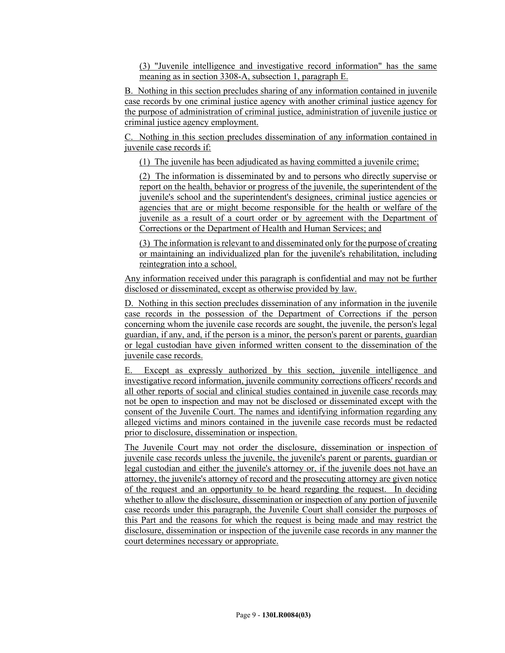(3) "Juvenile intelligence and investigative record information" has the same meaning as in section 3308-A, subsection 1, paragraph E.

B. Nothing in this section precludes sharing of any information contained in juvenile case records by one criminal justice agency with another criminal justice agency for the purpose of administration of criminal justice, administration of juvenile justice or criminal justice agency employment.

C. Nothing in this section precludes dissemination of any information contained in juvenile case records if:

(1) The juvenile has been adjudicated as having committed a juvenile crime;

(2) The information is disseminated by and to persons who directly supervise or report on the health, behavior or progress of the juvenile, the superintendent of the juvenile's school and the superintendent's designees, criminal justice agencies or agencies that are or might become responsible for the health or welfare of the juvenile as a result of a court order or by agreement with the Department of Corrections or the Department of Health and Human Services; and

(3) The information is relevant to and disseminated only for the purpose of creating or maintaining an individualized plan for the juvenile's rehabilitation, including reintegration into a school.

Any information received under this paragraph is confidential and may not be further disclosed or disseminated, except as otherwise provided by law.

D. Nothing in this section precludes dissemination of any information in the juvenile case records in the possession of the Department of Corrections if the person concerning whom the juvenile case records are sought, the juvenile, the person's legal guardian, if any, and, if the person is a minor, the person's parent or parents, guardian or legal custodian have given informed written consent to the dissemination of the juvenile case records.

E. Except as expressly authorized by this section, juvenile intelligence and investigative record information, juvenile community corrections officers' records and all other reports of social and clinical studies contained in juvenile case records may not be open to inspection and may not be disclosed or disseminated except with the consent of the Juvenile Court. The names and identifying information regarding any alleged victims and minors contained in the juvenile case records must be redacted prior to disclosure, dissemination or inspection.

The Juvenile Court may not order the disclosure, dissemination or inspection of juvenile case records unless the juvenile, the juvenile's parent or parents, guardian or legal custodian and either the juvenile's attorney or, if the juvenile does not have an attorney, the juvenile's attorney of record and the prosecuting attorney are given notice of the request and an opportunity to be heard regarding the request. In deciding whether to allow the disclosure, dissemination or inspection of any portion of juvenile case records under this paragraph, the Juvenile Court shall consider the purposes of this Part and the reasons for which the request is being made and may restrict the disclosure, dissemination or inspection of the juvenile case records in any manner the court determines necessary or appropriate.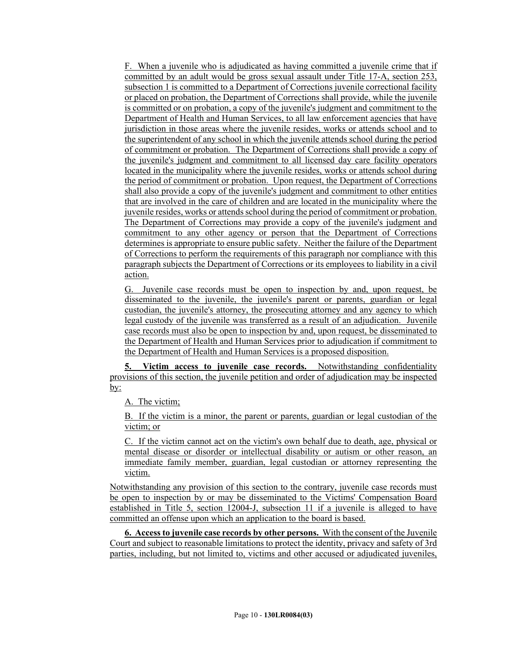F. When a juvenile who is adjudicated as having committed a juvenile crime that if committed by an adult would be gross sexual assault under Title 17-A, section 253, subsection 1 is committed to a Department of Corrections juvenile correctional facility or placed on probation, the Department of Corrections shall provide, while the juvenile is committed or on probation, a copy of the juvenile's judgment and commitment to the Department of Health and Human Services, to all law enforcement agencies that have jurisdiction in those areas where the juvenile resides, works or attends school and to the superintendent of any school in which the juvenile attends school during the period of commitment or probation. The Department of Corrections shall provide a copy of the juvenile's judgment and commitment to all licensed day care facility operators located in the municipality where the juvenile resides, works or attends school during the period of commitment or probation. Upon request, the Department of Corrections shall also provide a copy of the juvenile's judgment and commitment to other entities that are involved in the care of children and are located in the municipality where the juvenile resides, works or attends school during the period of commitment or probation. The Department of Corrections may provide a copy of the juvenile's judgment and commitment to any other agency or person that the Department of Corrections determines is appropriate to ensure public safety. Neither the failure of the Department of Corrections to perform the requirements of this paragraph nor compliance with this paragraph subjects the Department of Corrections or its employees to liability in a civil action.

G. Juvenile case records must be open to inspection by and, upon request, be disseminated to the juvenile, the juvenile's parent or parents, guardian or legal custodian, the juvenile's attorney, the prosecuting attorney and any agency to which legal custody of the juvenile was transferred as a result of an adjudication. Juvenile case records must also be open to inspection by and, upon request, be disseminated to the Department of Health and Human Services prior to adjudication if commitment to the Department of Health and Human Services is a proposed disposition.

**5. Victim access to juvenile case records.** Notwithstanding confidentiality provisions of this section, the juvenile petition and order of adjudication may be inspected by:

A. The victim;

B. If the victim is a minor, the parent or parents, guardian or legal custodian of the victim; or

C. If the victim cannot act on the victim's own behalf due to death, age, physical or mental disease or disorder or intellectual disability or autism or other reason, an immediate family member, guardian, legal custodian or attorney representing the victim.

Notwithstanding any provision of this section to the contrary, juvenile case records must be open to inspection by or may be disseminated to the Victims' Compensation Board established in Title 5, section 12004-J, subsection 11 if a juvenile is alleged to have committed an offense upon which an application to the board is based.

**6. Access to juvenile case records by other persons.** With the consent of the Juvenile Court and subject to reasonable limitations to protect the identity, privacy and safety of 3rd parties, including, but not limited to, victims and other accused or adjudicated juveniles,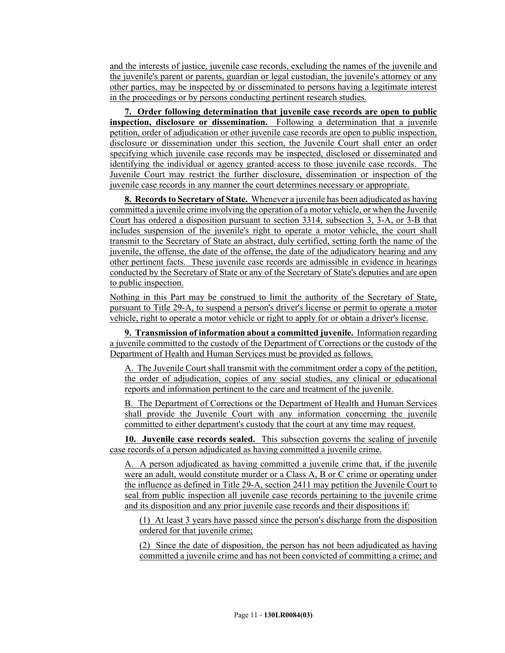and the interests of justice, juvenile case records, excluding the names of the juvenile and the juvenile's parent or parents, guardian or legal custodian, the juvenile's attorney or any other parties, may be inspected by or disseminated to persons having a legitimate interest in the proceedings or by persons conducting pertinent research studies.

**7. Order following determination that juvenile case records are open to public inspection, disclosure or dissemination.** Following a determination that a juvenile petition, order of adjudication or other juvenile case records are open to public inspection, disclosure or dissemination under this section, the Juvenile Court shall enter an order specifying which juvenile case records may be inspected, disclosed or disseminated and identifying the individual or agency granted access to those juvenile case records. The Juvenile Court may restrict the further disclosure, dissemination or inspection of the juvenile case records in any manner the court determines necessary or appropriate.

**8. Records to Secretary of State.** Whenever a juvenile has been adjudicated as having committed a juvenile crime involving the operation of a motor vehicle, or when the Juvenile Court has ordered a disposition pursuant to section 3314, subsection 3, 3-A, or 3-B that includes suspension of the juvenile's right to operate a motor vehicle, the court shall transmit to the Secretary of State an abstract, duly certified, setting forth the name of the juvenile, the offense, the date of the offense, the date of the adjudicatory hearing and any other pertinent facts. These juvenile case records are admissible in evidence in hearings conducted by the Secretary of State or any of the Secretary of State's deputies and are open to public inspection.

Nothing in this Part may be construed to limit the authority of the Secretary of State, pursuant to Title 29-A, to suspend a person's driver's license or permit to operate a motor vehicle, right to operate a motor vehicle or right to apply for or obtain a driver's license.

**9. Transmission of information about a committed juvenile.** Information regarding a juvenile committed to the custody of the Department of Corrections or the custody of the Department of Health and Human Services must be provided as follows.

A. The Juvenile Court shall transmit with the commitment order a copy of the petition, the order of adjudication, copies of any social studies, any clinical or educational reports and information pertinent to the care and treatment of the juvenile.

B. The Department of Corrections or the Department of Health and Human Services shall provide the Juvenile Court with any information concerning the juvenile committed to either department's custody that the court at any time may request.

**10. Juvenile case records sealed.** This subsection governs the sealing of juvenile case records of a person adjudicated as having committed a juvenile crime.

A. A person adjudicated as having committed a juvenile crime that, if the juvenile were an adult, would constitute murder or a Class A, B or C crime or operating under the influence as defined in Title 29-A, section 2411 may petition the Juvenile Court to seal from public inspection all juvenile case records pertaining to the juvenile crime and its disposition and any prior juvenile case records and their dispositions if:

(1) At least 3 years have passed since the person's discharge from the disposition ordered for that juvenile crime;

(2) Since the date of disposition, the person has not been adjudicated as having committed a juvenile crime and has not been convicted of committing a crime; and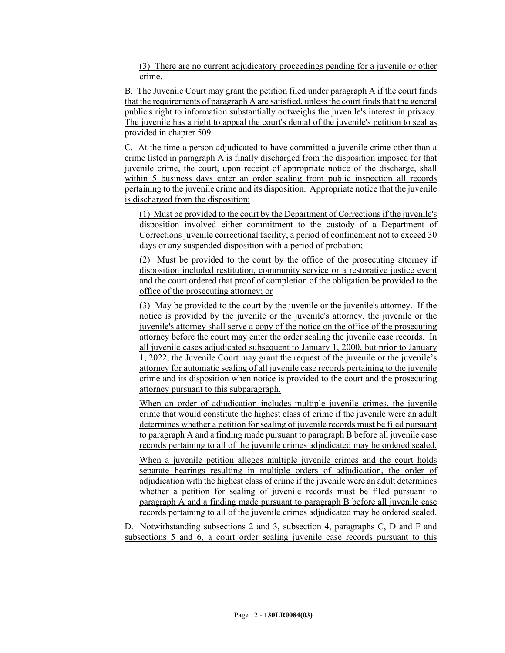(3) There are no current adjudicatory proceedings pending for a juvenile or other crime.

B. The Juvenile Court may grant the petition filed under paragraph A if the court finds that the requirements of paragraph A are satisfied, unless the court finds that the general public's right to information substantially outweighs the juvenile's interest in privacy. The juvenile has a right to appeal the court's denial of the juvenile's petition to seal as provided in chapter 509.

C. At the time a person adjudicated to have committed a juvenile crime other than a crime listed in paragraph A is finally discharged from the disposition imposed for that juvenile crime, the court, upon receipt of appropriate notice of the discharge, shall within 5 business days enter an order sealing from public inspection all records pertaining to the juvenile crime and its disposition. Appropriate notice that the juvenile is discharged from the disposition:

(1) Must be provided to the court by the Department of Corrections if the juvenile's disposition involved either commitment to the custody of a Department of Corrections juvenile correctional facility, a period of confinement not to exceed 30 days or any suspended disposition with a period of probation;

(2) Must be provided to the court by the office of the prosecuting attorney if disposition included restitution, community service or a restorative justice event and the court ordered that proof of completion of the obligation be provided to the office of the prosecuting attorney; or

(3) May be provided to the court by the juvenile or the juvenile's attorney. If the notice is provided by the juvenile or the juvenile's attorney, the juvenile or the juvenile's attorney shall serve a copy of the notice on the office of the prosecuting attorney before the court may enter the order sealing the juvenile case records. In all juvenile cases adjudicated subsequent to January 1, 2000, but prior to January 1, 2022, the Juvenile Court may grant the request of the juvenile or the juvenile's attorney for automatic sealing of all juvenile case records pertaining to the juvenile crime and its disposition when notice is provided to the court and the prosecuting attorney pursuant to this subparagraph.

When an order of adjudication includes multiple juvenile crimes, the juvenile crime that would constitute the highest class of crime if the juvenile were an adult determines whether a petition for sealing of juvenile records must be filed pursuant to paragraph A and a finding made pursuant to paragraph B before all juvenile case records pertaining to all of the juvenile crimes adjudicated may be ordered sealed.

When a juvenile petition alleges multiple juvenile crimes and the court holds separate hearings resulting in multiple orders of adjudication, the order of adjudication with the highest class of crime if the juvenile were an adult determines whether a petition for sealing of juvenile records must be filed pursuant to paragraph A and a finding made pursuant to paragraph B before all juvenile case records pertaining to all of the juvenile crimes adjudicated may be ordered sealed.

D. Notwithstanding subsections 2 and 3, subsection 4, paragraphs C, D and F and subsections 5 and 6, a court order sealing juvenile case records pursuant to this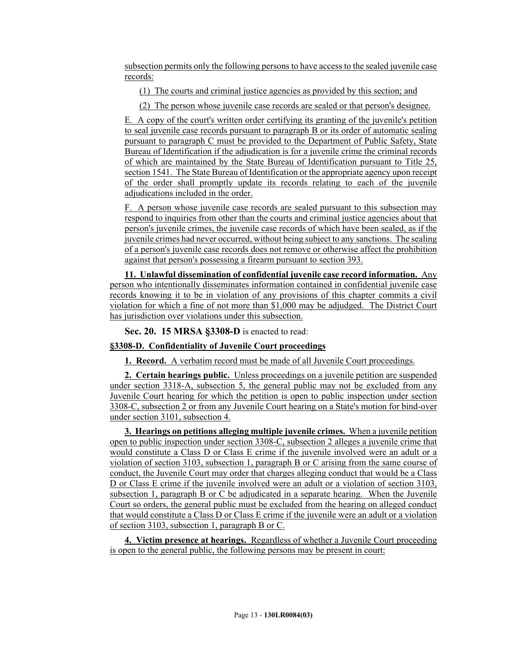subsection permits only the following persons to have access to the sealed juvenile case records:

(1) The courts and criminal justice agencies as provided by this section; and

(2) The person whose juvenile case records are sealed or that person's designee.

E. A copy of the court's written order certifying its granting of the juvenile's petition to seal juvenile case records pursuant to paragraph B or its order of automatic sealing pursuant to paragraph C must be provided to the Department of Public Safety, State Bureau of Identification if the adjudication is for a juvenile crime the criminal records of which are maintained by the State Bureau of Identification pursuant to Title 25, section 1541. The State Bureau of Identification or the appropriate agency upon receipt of the order shall promptly update its records relating to each of the juvenile adjudications included in the order.

F. A person whose juvenile case records are sealed pursuant to this subsection may respond to inquiries from other than the courts and criminal justice agencies about that person's juvenile crimes, the juvenile case records of which have been sealed, as if the juvenile crimes had never occurred, without being subject to any sanctions. The sealing of a person's juvenile case records does not remove or otherwise affect the prohibition against that person's possessing a firearm pursuant to section 393.

**11. Unlawful dissemination of confidential juvenile case record information.** Any person who intentionally disseminates information contained in confidential juvenile case records knowing it to be in violation of any provisions of this chapter commits a civil violation for which a fine of not more than \$1,000 may be adjudged. The District Court has jurisdiction over violations under this subsection.

**Sec. 20. 15 MRSA §3308-D** is enacted to read:

#### **§3308-D. Confidentiality of Juvenile Court proceedings**

**1. Record.** A verbatim record must be made of all Juvenile Court proceedings.

**2. Certain hearings public.** Unless proceedings on a juvenile petition are suspended under section 3318-A, subsection 5, the general public may not be excluded from any Juvenile Court hearing for which the petition is open to public inspection under section 3308-C, subsection 2 or from any Juvenile Court hearing on a State's motion for bind-over under section 3101, subsection 4.

**3. Hearings on petitions alleging multiple juvenile crimes.** When a juvenile petition open to public inspection under section 3308-C, subsection 2 alleges a juvenile crime that would constitute a Class D or Class E crime if the juvenile involved were an adult or a violation of section 3103, subsection 1, paragraph B or C arising from the same course of conduct, the Juvenile Court may order that charges alleging conduct that would be a Class D or Class E crime if the juvenile involved were an adult or a violation of section 3103, subsection 1, paragraph B or C be adjudicated in a separate hearing. When the Juvenile Court so orders, the general public must be excluded from the hearing on alleged conduct that would constitute a Class D or Class E crime if the juvenile were an adult or a violation of section 3103, subsection 1, paragraph B or C.

**4. Victim presence at hearings.** Regardless of whether a Juvenile Court proceeding is open to the general public, the following persons may be present in court: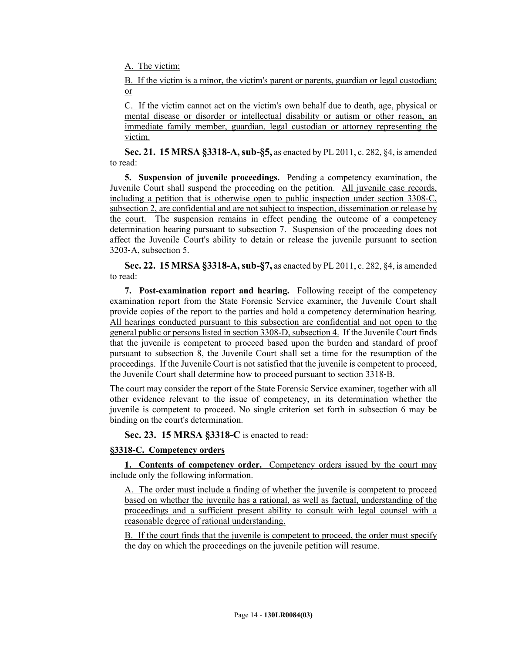A. The victim;

B. If the victim is a minor, the victim's parent or parents, guardian or legal custodian; or

C. If the victim cannot act on the victim's own behalf due to death, age, physical or mental disease or disorder or intellectual disability or autism or other reason, an immediate family member, guardian, legal custodian or attorney representing the victim.

**Sec. 21. 15 MRSA §3318-A, sub-§5,** as enacted by PL 2011, c. 282, §4, is amended to read:

**5. Suspension of juvenile proceedings.** Pending a competency examination, the Juvenile Court shall suspend the proceeding on the petition. All juvenile case records, including a petition that is otherwise open to public inspection under section 3308-C, subsection 2, are confidential and are not subject to inspection, dissemination or release by the court. The suspension remains in effect pending the outcome of a competency determination hearing pursuant to subsection 7. Suspension of the proceeding does not affect the Juvenile Court's ability to detain or release the juvenile pursuant to section 3203‑A, subsection 5.

**Sec. 22. 15 MRSA §3318-A, sub-§7,** as enacted by PL 2011, c. 282, §4, is amended to read:

**7. Post-examination report and hearing.** Following receipt of the competency examination report from the State Forensic Service examiner, the Juvenile Court shall provide copies of the report to the parties and hold a competency determination hearing. All hearings conducted pursuant to this subsection are confidential and not open to the general public or persons listed in section 3308-D, subsection 4. If the Juvenile Court finds that the juvenile is competent to proceed based upon the burden and standard of proof pursuant to subsection 8, the Juvenile Court shall set a time for the resumption of the proceedings. If the Juvenile Court is not satisfied that the juvenile is competent to proceed, the Juvenile Court shall determine how to proceed pursuant to section 3318‑B.

The court may consider the report of the State Forensic Service examiner, together with all other evidence relevant to the issue of competency, in its determination whether the juvenile is competent to proceed. No single criterion set forth in subsection 6 may be binding on the court's determination.

**Sec. 23. 15 MRSA §3318-C** is enacted to read:

#### **§3318-C. Competency orders**

**1. Contents of competency order.** Competency orders issued by the court may include only the following information.

A. The order must include a finding of whether the juvenile is competent to proceed based on whether the juvenile has a rational, as well as factual, understanding of the proceedings and a sufficient present ability to consult with legal counsel with a reasonable degree of rational understanding.

B. If the court finds that the juvenile is competent to proceed, the order must specify the day on which the proceedings on the juvenile petition will resume.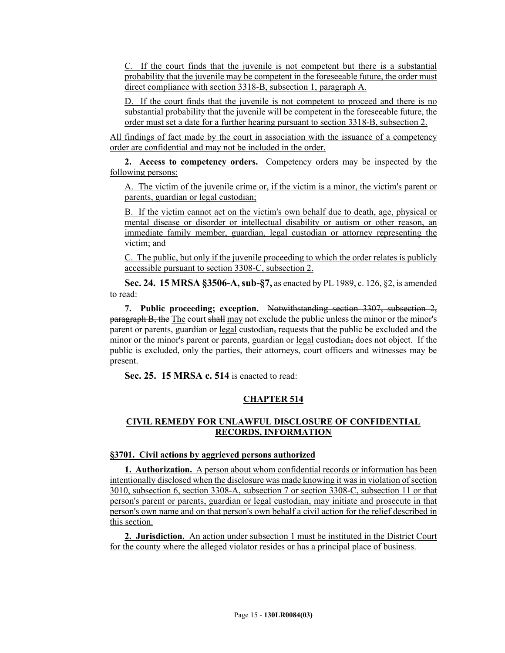C. If the court finds that the juvenile is not competent but there is a substantial probability that the juvenile may be competent in the foreseeable future, the order must direct compliance with section 3318-B, subsection 1, paragraph A.

D. If the court finds that the juvenile is not competent to proceed and there is no substantial probability that the juvenile will be competent in the foreseeable future, the order must set a date for a further hearing pursuant to section 3318-B, subsection 2.

All findings of fact made by the court in association with the issuance of a competency order are confidential and may not be included in the order.

**2. Access to competency orders.** Competency orders may be inspected by the following persons:

A. The victim of the juvenile crime or, if the victim is a minor, the victim's parent or parents, guardian or legal custodian;

B. If the victim cannot act on the victim's own behalf due to death, age, physical or mental disease or disorder or intellectual disability or autism or other reason, an immediate family member, guardian, legal custodian or attorney representing the victim; and

C. The public, but only if the juvenile proceeding to which the order relates is publicly accessible pursuant to section 3308-C, subsection 2.

**Sec. 24. 15 MRSA §3506-A, sub-§7,** as enacted by PL 1989, c. 126, §2, is amended to read:

**7. Public proceeding; exception.** Notwithstanding section 3307, subsection 2, paragraph B, the The court shall may not exclude the public unless the minor or the minor's parent or parents, guardian or legal custodian, requests that the public be excluded and the minor or the minor's parent or parents, guardian or legal custodian, does not object. If the public is excluded, only the parties, their attorneys, court officers and witnesses may be present.

**Sec. 25. 15 MRSA c. 514** is enacted to read:

# **CHAPTER 514**

# **CIVIL REMEDY FOR UNLAWFUL DISCLOSURE OF CONFIDENTIAL RECORDS, INFORMATION**

#### **§3701. Civil actions by aggrieved persons authorized**

**1. Authorization.** A person about whom confidential records or information has been intentionally disclosed when the disclosure was made knowing it was in violation of section 3010, subsection 6, section 3308-A, subsection 7 or section 3308-C, subsection 11 or that person's parent or parents, guardian or legal custodian, may initiate and prosecute in that person's own name and on that person's own behalf a civil action for the relief described in this section.

**2. Jurisdiction.** An action under subsection 1 must be instituted in the District Court for the county where the alleged violator resides or has a principal place of business.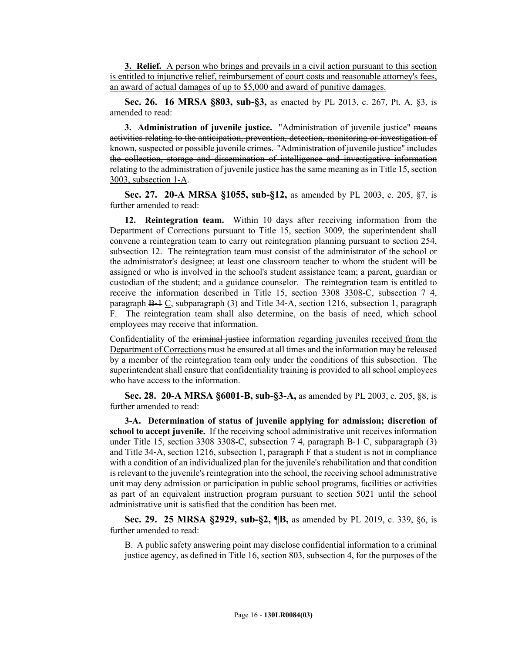**3. Relief.** A person who brings and prevails in a civil action pursuant to this section is entitled to injunctive relief, reimbursement of court costs and reasonable attorney's fees, an award of actual damages of up to \$5,000 and award of punitive damages.

**Sec. 26. 16 MRSA §803, sub-§3,** as enacted by PL 2013, c. 267, Pt. A, §3, is amended to read:

**3. Administration of juvenile justice.** "Administration of juvenile justice" means activities relating to the anticipation, prevention, detection, monitoring or investigation of known, suspected or possible juvenile crimes. "Administration of juvenile justice" includes the collection, storage and dissemination of intelligence and investigative information relating to the administration of juvenile justice has the same meaning as in Title 15, section 3003, subsection 1-A.

**Sec. 27. 20-A MRSA §1055, sub-§12,** as amended by PL 2003, c. 205, §7, is further amended to read:

**12. Reintegration team.** Within 10 days after receiving information from the Department of Corrections pursuant to Title 15, section 3009, the superintendent shall convene a reintegration team to carry out reintegration planning pursuant to section 254, subsection 12. The reintegration team must consist of the administrator of the school or the administrator's designee; at least one classroom teacher to whom the student will be assigned or who is involved in the school's student assistance team; a parent, guardian or custodian of the student; and a guidance counselor. The reintegration team is entitled to receive the information described in Title 15, section  $3308$  3308-C, subsection  $7\,4$ , paragraph B‑1 C, subparagraph (3) and Title 34‑A, section 1216, subsection 1, paragraph F. The reintegration team shall also determine, on the basis of need, which school employees may receive that information.

Confidentiality of the criminal justice information regarding juveniles received from the Department of Corrections must be ensured at all times and the information may be released by a member of the reintegration team only under the conditions of this subsection. The superintendent shall ensure that confidentiality training is provided to all school employees who have access to the information.

**Sec. 28. 20-A MRSA §6001-B, sub-§3-A,** as amended by PL 2003, c. 205, §8, is further amended to read:

**3-A. Determination of status of juvenile applying for admission; discretion of school to accept juvenile.** If the receiving school administrative unit receives information under Title 15, section  $3308$ –C, subsection  $74$ , paragraph  $B-1$ C, subparagraph (3) and Title 34‑A, section 1216, subsection 1, paragraph F that a student is not in compliance with a condition of an individualized plan for the juvenile's rehabilitation and that condition is relevant to the juvenile's reintegration into the school, the receiving school administrative unit may deny admission or participation in public school programs, facilities or activities as part of an equivalent instruction program pursuant to section 5021 until the school administrative unit is satisfied that the condition has been met.

**Sec. 29. 25 MRSA §2929, sub-§2, ¶B,** as amended by PL 2019, c. 339, §6, is further amended to read:

B. A public safety answering point may disclose confidential information to a criminal justice agency, as defined in Title 16, section 803, subsection 4, for the purposes of the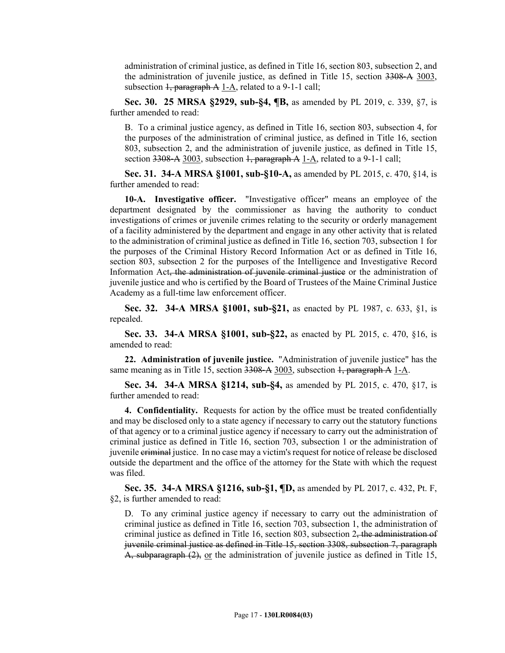administration of criminal justice, as defined in Title 16, section 803, subsection 2, and the administration of juvenile justice, as defined in Title 15, section 3308‑A 3003, subsection  $\frac{1}{2}$ , paragraph A 1-A, related to a 9-1-1 call;

**Sec. 30. 25 MRSA §2929, sub-§4, ¶B,** as amended by PL 2019, c. 339, §7, is further amended to read:

B. To a criminal justice agency, as defined in Title 16, section 803, subsection 4, for the purposes of the administration of criminal justice, as defined in Title 16, section 803, subsection 2, and the administration of juvenile justice, as defined in Title 15, section  $3308-A3003$ , subsection  $\frac{1}{2}$ , paragraph A 1-A, related to a 9-1-1 call;

**Sec. 31. 34-A MRSA §1001, sub-§10-A,** as amended by PL 2015, c. 470, §14, is further amended to read:

**10-A. Investigative officer.** "Investigative officer" means an employee of the department designated by the commissioner as having the authority to conduct investigations of crimes or juvenile crimes relating to the security or orderly management of a facility administered by the department and engage in any other activity that is related to the administration of criminal justice as defined in Title 16, section 703, subsection 1 for the purposes of the Criminal History Record Information Act or as defined in Title 16, section 803, subsection 2 for the purposes of the Intelligence and Investigative Record Information Act, the administration of juvenile criminal justice or the administration of juvenile justice and who is certified by the Board of Trustees of the Maine Criminal Justice Academy as a full-time law enforcement officer.

**Sec. 32. 34-A MRSA §1001, sub-§21,** as enacted by PL 1987, c. 633, §1, is repealed.

**Sec. 33. 34-A MRSA §1001, sub-§22,** as enacted by PL 2015, c. 470, §16, is amended to read:

**22. Administration of juvenile justice.** "Administration of juvenile justice" has the same meaning as in Title 15, section  $3308-A3003$ , subsection  $1$ , paragraph A 1-A.

**Sec. 34. 34-A MRSA §1214, sub-§4,** as amended by PL 2015, c. 470, §17, is further amended to read:

**4. Confidentiality.** Requests for action by the office must be treated confidentially and may be disclosed only to a state agency if necessary to carry out the statutory functions of that agency or to a criminal justice agency if necessary to carry out the administration of criminal justice as defined in Title 16, section 703, subsection 1 or the administration of juvenile criminal justice. In no case may a victim's request for notice of release be disclosed outside the department and the office of the attorney for the State with which the request was filed.

**Sec. 35. 34-A MRSA §1216, sub-§1, ¶D,** as amended by PL 2017, c. 432, Pt. F, §2, is further amended to read:

D. To any criminal justice agency if necessary to carry out the administration of criminal justice as defined in Title 16, section 703, subsection 1, the administration of criminal justice as defined in Title 16, section 803, subsection  $2$ , the administration of juvenile criminal justice as defined in Title 15, section 3308, subsection 7, paragraph A, subparagraph (2), or the administration of juvenile justice as defined in Title 15,